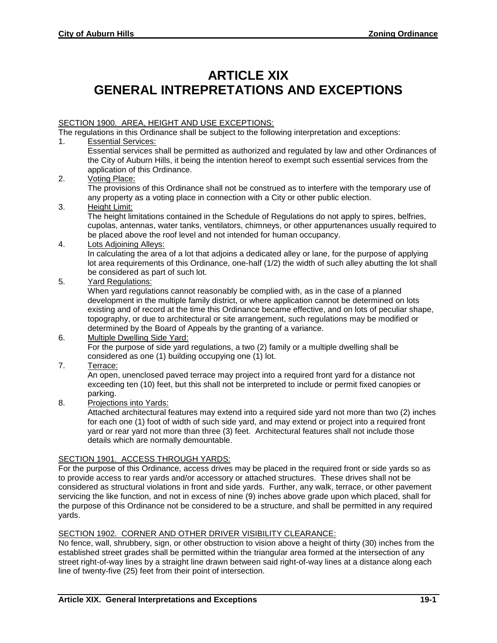# **ARTICLE XIX GENERAL INTREPRETATIONS AND EXCEPTIONS**

## SECTION 1900. AREA, HEIGHT AND USE EXCEPTIONS:

The regulations in this Ordinance shall be subject to the following interpretation and exceptions:

- 1. Essential Services:
	- Essential services shall be permitted as authorized and regulated by law and other Ordinances of the City of Auburn Hills, it being the intention hereof to exempt such essential services from the application of this Ordinance.
- 2. Voting Place:

The provisions of this Ordinance shall not be construed as to interfere with the temporary use of any property as a voting place in connection with a City or other public election.

3. Height Limit:

The height limitations contained in the Schedule of Regulations do not apply to spires, belfries, cupolas, antennas, water tanks, ventilators, chimneys, or other appurtenances usually required to be placed above the roof level and not intended for human occupancy.

4. Lots Adjoining Alleys:

In calculating the area of a lot that adjoins a dedicated alley or lane, for the purpose of applying lot area requirements of this Ordinance, one-half (1/2) the width of such alley abutting the lot shall be considered as part of such lot.

5. Yard Regulations:

When yard regulations cannot reasonably be complied with, as in the case of a planned development in the multiple family district, or where application cannot be determined on lots existing and of record at the time this Ordinance became effective, and on lots of peculiar shape, topography, or due to architectural or site arrangement, such regulations may be modified or determined by the Board of Appeals by the granting of a variance.

- 6. Multiple Dwelling Side Yard: For the purpose of side yard regulations, a two (2) family or a multiple dwelling shall be considered as one (1) building occupying one (1) lot.
- 7. Terrace:

An open, unenclosed paved terrace may project into a required front yard for a distance not exceeding ten (10) feet, but this shall not be interpreted to include or permit fixed canopies or parking.

8. Projections into Yards:

Attached architectural features may extend into a required side yard not more than two (2) inches for each one (1) foot of width of such side yard, and may extend or project into a required front yard or rear yard not more than three (3) feet. Architectural features shall not include those details which are normally demountable.

## SECTION 1901. ACCESS THROUGH YARDS:

For the purpose of this Ordinance, access drives may be placed in the required front or side yards so as to provide access to rear yards and/or accessory or attached structures. These drives shall not be considered as structural violations in front and side yards. Further, any walk, terrace, or other pavement servicing the like function, and not in excess of nine (9) inches above grade upon which placed, shall for the purpose of this Ordinance not be considered to be a structure, and shall be permitted in any required yards.

## SECTION 1902. CORNER AND OTHER DRIVER VISIBILITY CLEARANCE:

No fence, wall, shrubbery, sign, or other obstruction to vision above a height of thirty (30) inches from the established street grades shall be permitted within the triangular area formed at the intersection of any street right-of-way lines by a straight line drawn between said right-of-way lines at a distance along each line of twenty-five (25) feet from their point of intersection.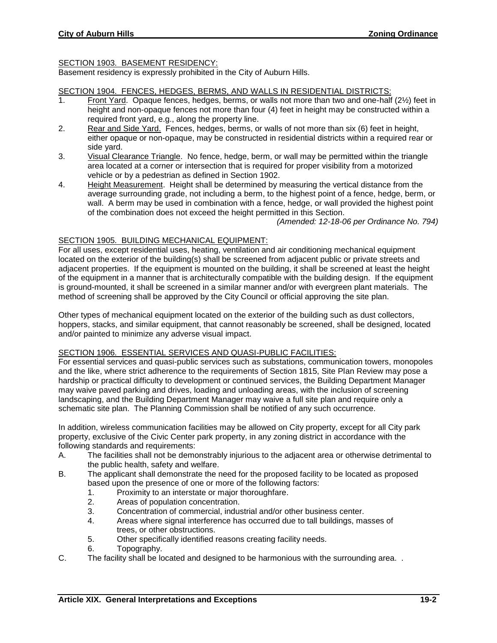## SECTION 1903. BASEMENT RESIDENCY:

Basement residency is expressly prohibited in the City of Auburn Hills.

#### SECTION 1904. FENCES, HEDGES, BERMS, AND WALLS IN RESIDENTIAL DISTRICTS:

- 1. Front Yard. Opaque fences, hedges, berms, or walls not more than two and one-half (2½) feet in height and non-opaque fences not more than four (4) feet in height may be constructed within a required front yard, e.g., along the property line.
- 2. Rear and Side Yard. Fences, hedges, berms, or walls of not more than six (6) feet in height, either opaque or non-opaque, may be constructed in residential districts within a required rear or side yard.
- 3. Visual Clearance Triangle. No fence, hedge, berm, or wall may be permitted within the triangle area located at a corner or intersection that is required for proper visibility from a motorized vehicle or by a pedestrian as defined in Section 1902.
- 4. Height Measurement. Height shall be determined by measuring the vertical distance from the average surrounding grade, not including a berm, to the highest point of a fence, hedge, berm, or wall. A berm may be used in combination with a fence, hedge, or wall provided the highest point of the combination does not exceed the height permitted in this Section.

*(Amended: 12-18-06 per Ordinance No. 794)*

## SECTION 1905. BUILDING MECHANICAL EQUIPMENT:

For all uses, except residential uses, heating, ventilation and air conditioning mechanical equipment located on the exterior of the building(s) shall be screened from adjacent public or private streets and adjacent properties. If the equipment is mounted on the building, it shall be screened at least the height of the equipment in a manner that is architecturally compatible with the building design. If the equipment is ground-mounted, it shall be screened in a similar manner and/or with evergreen plant materials. The method of screening shall be approved by the City Council or official approving the site plan.

Other types of mechanical equipment located on the exterior of the building such as dust collectors, hoppers, stacks, and similar equipment, that cannot reasonably be screened, shall be designed, located and/or painted to minimize any adverse visual impact.

## SECTION 1906. ESSENTIAL SERVICES AND QUASI-PUBLIC FACILITIES:

For essential services and quasi-public services such as substations, communication towers, monopoles and the like, where strict adherence to the requirements of Section 1815, Site Plan Review may pose a hardship or practical difficulty to development or continued services, the Building Department Manager may waive paved parking and drives, loading and unloading areas, with the inclusion of screening landscaping, and the Building Department Manager may waive a full site plan and require only a schematic site plan. The Planning Commission shall be notified of any such occurrence.

In addition, wireless communication facilities may be allowed on City property, except for all City park property, exclusive of the Civic Center park property, in any zoning district in accordance with the following standards and requirements:

- A. The facilities shall not be demonstrably injurious to the adjacent area or otherwise detrimental to the public health, safety and welfare.
- B. The applicant shall demonstrate the need for the proposed facility to be located as proposed based upon the presence of one or more of the following factors:
	- 1. Proximity to an interstate or major thoroughfare.
	- 2. Areas of population concentration.
	- 3. Concentration of commercial, industrial and/or other business center.
	- 4. Areas where signal interference has occurred due to tall buildings, masses of trees, or other obstructions.
	- 5. Other specifically identified reasons creating facility needs.
	- 6. Topography.
- C. The facility shall be located and designed to be harmonious with the surrounding area. .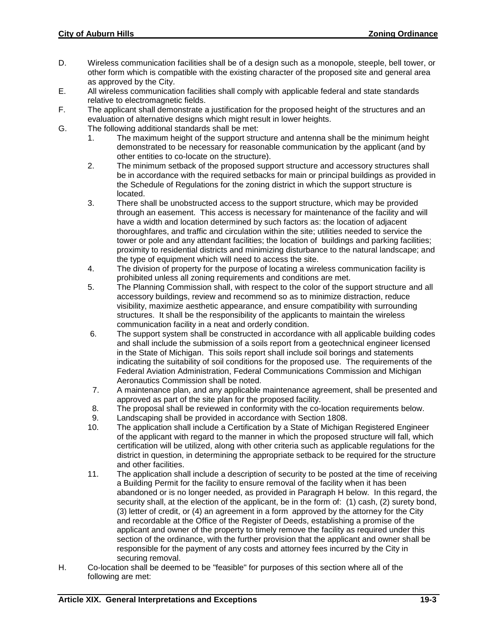- D. Wireless communication facilities shall be of a design such as a monopole, steeple, bell tower, or other form which is compatible with the existing character of the proposed site and general area as approved by the City.
- E. All wireless communication facilities shall comply with applicable federal and state standards relative to electromagnetic fields.
- F. The applicant shall demonstrate a justification for the proposed height of the structures and an evaluation of alternative designs which might result in lower heights.
- G. The following additional standards shall be met:
	- 1. The maximum height of the support structure and antenna shall be the minimum height demonstrated to be necessary for reasonable communication by the applicant (and by other entities to co-locate on the structure).
	- 2. The minimum setback of the proposed support structure and accessory structures shall be in accordance with the required setbacks for main or principal buildings as provided in the Schedule of Regulations for the zoning district in which the support structure is located.
	- 3. There shall be unobstructed access to the support structure, which may be provided through an easement. This access is necessary for maintenance of the facility and will have a width and location determined by such factors as: the location of adjacent thoroughfares, and traffic and circulation within the site; utilities needed to service the tower or pole and any attendant facilities; the location of buildings and parking facilities; proximity to residential districts and minimizing disturbance to the natural landscape; and the type of equipment which will need to access the site.
	- 4. The division of property for the purpose of locating a wireless communication facility is prohibited unless all zoning requirements and conditions are met.
	- 5. The Planning Commission shall, with respect to the color of the support structure and all accessory buildings, review and recommend so as to minimize distraction, reduce visibility, maximize aesthetic appearance, and ensure compatibility with surrounding structures. It shall be the responsibility of the applicants to maintain the wireless communication facility in a neat and orderly condition.
	- 6. The support system shall be constructed in accordance with all applicable building codes and shall include the submission of a soils report from a geotechnical engineer licensed in the State of Michigan. This soils report shall include soil borings and statements indicating the suitability of soil conditions for the proposed use. The requirements of the Federal Aviation Administration, Federal Communications Commission and Michigan Aeronautics Commission shall be noted.
	- 7. A maintenance plan, and any applicable maintenance agreement, shall be presented and approved as part of the site plan for the proposed facility.
	- 8. The proposal shall be reviewed in conformity with the co-location requirements below.
	- 9. Landscaping shall be provided in accordance with Section 1808.
	- 10. The application shall include a Certification by a State of Michigan Registered Engineer of the applicant with regard to the manner in which the proposed structure will fall, which certification will be utilized, along with other criteria such as applicable regulations for the district in question, in determining the appropriate setback to be required for the structure and other facilities.
	- 11. The application shall include a description of security to be posted at the time of receiving a Building Permit for the facility to ensure removal of the facility when it has been abandoned or is no longer needed, as provided in Paragraph H below. In this regard, the security shall, at the election of the applicant, be in the form of: (1) cash, (2) surety bond, (3) letter of credit, or (4) an agreement in a form approved by the attorney for the City and recordable at the Office of the Register of Deeds, establishing a promise of the applicant and owner of the property to timely remove the facility as required under this section of the ordinance, with the further provision that the applicant and owner shall be responsible for the payment of any costs and attorney fees incurred by the City in securing removal.
- H. Co-location shall be deemed to be "feasible" for purposes of this section where all of the following are met: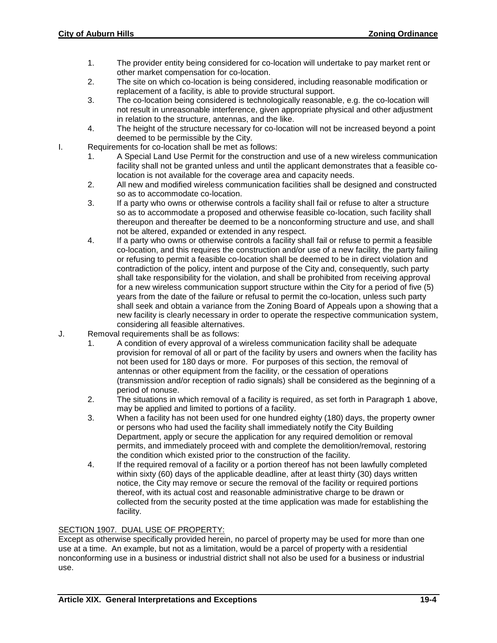- 1. The provider entity being considered for co-location will undertake to pay market rent or other market compensation for co-location.
- 2. The site on which co-location is being considered, including reasonable modification or replacement of a facility, is able to provide structural support.
- 3. The co-location being considered is technologically reasonable, e.g. the co-location will not result in unreasonable interference, given appropriate physical and other adjustment in relation to the structure, antennas, and the like.
- 4. The height of the structure necessary for co-location will not be increased beyond a point deemed to be permissible by the City.
- I. Requirements for co-location shall be met as follows:
	- 1. A Special Land Use Permit for the construction and use of a new wireless communication facility shall not be granted unless and until the applicant demonstrates that a feasible colocation is not available for the coverage area and capacity needs.
	- 2. All new and modified wireless communication facilities shall be designed and constructed so as to accommodate co-location.
	- 3. If a party who owns or otherwise controls a facility shall fail or refuse to alter a structure so as to accommodate a proposed and otherwise feasible co-location, such facility shall thereupon and thereafter be deemed to be a nonconforming structure and use, and shall not be altered, expanded or extended in any respect.
	- 4. If a party who owns or otherwise controls a facility shall fail or refuse to permit a feasible co-location, and this requires the construction and/or use of a new facility, the party failing or refusing to permit a feasible co-location shall be deemed to be in direct violation and contradiction of the policy, intent and purpose of the City and, consequently, such party shall take responsibility for the violation, and shall be prohibited from receiving approval for a new wireless communication support structure within the City for a period of five (5) years from the date of the failure or refusal to permit the co-location, unless such party shall seek and obtain a variance from the Zoning Board of Appeals upon a showing that a new facility is clearly necessary in order to operate the respective communication system, considering all feasible alternatives.
- J. Removal requirements shall be as follows:
	- 1. A condition of every approval of a wireless communication facility shall be adequate provision for removal of all or part of the facility by users and owners when the facility has not been used for 180 days or more. For purposes of this section, the removal of antennas or other equipment from the facility, or the cessation of operations (transmission and/or reception of radio signals) shall be considered as the beginning of a period of nonuse.
	- 2. The situations in which removal of a facility is required, as set forth in Paragraph 1 above, may be applied and limited to portions of a facility.
	- 3. When a facility has not been used for one hundred eighty (180) days, the property owner or persons who had used the facility shall immediately notify the City Building Department, apply or secure the application for any required demolition or removal permits, and immediately proceed with and complete the demolition/removal, restoring the condition which existed prior to the construction of the facility.
	- 4. If the required removal of a facility or a portion thereof has not been lawfully completed within sixty (60) days of the applicable deadline, after at least thirty (30) days written notice, the City may remove or secure the removal of the facility or required portions thereof, with its actual cost and reasonable administrative charge to be drawn or collected from the security posted at the time application was made for establishing the facility.

## SECTION 1907. DUAL USE OF PROPERTY:

Except as otherwise specifically provided herein, no parcel of property may be used for more than one use at a time. An example, but not as a limitation, would be a parcel of property with a residential nonconforming use in a business or industrial district shall not also be used for a business or industrial use.